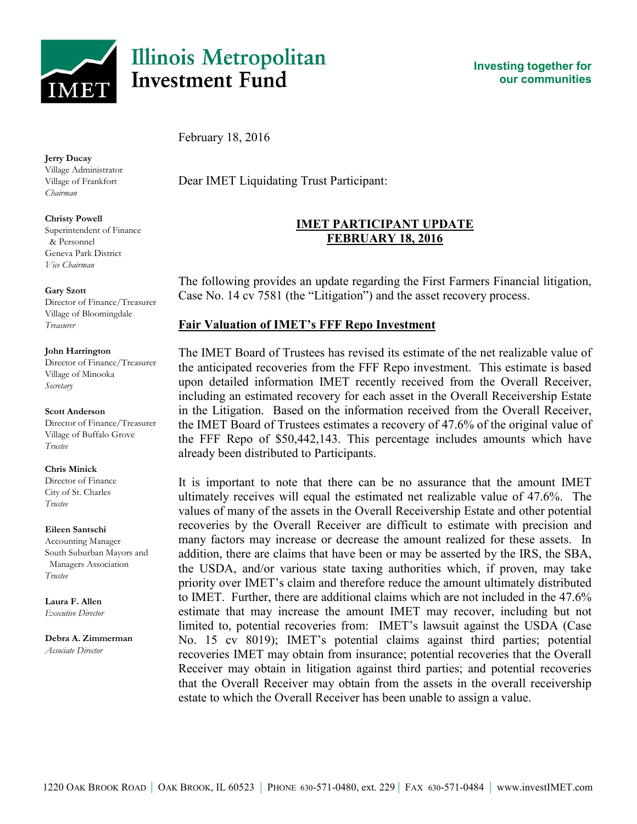

# **Illinois Metropolitan Investment Fund**

**Investing together for our communities**

February 18, 2016

**Jerry Ducay**

Village Administrator Village of Frankfort *Chairman*

**Christy Powell** Superintendent of Finance & Personnel Geneva Park District *Vice Chairman*

#### **Gary Szott**

Director of Finance/Treasurer Village of Bloomingdale *Treasurer*

#### **John Harrington**

Director of Finance/Treasurer Village of Minooka *Secretary*

#### **Scott Anderson**

Director of Finance/Treasurer Village of Buffalo Grove *Trustee*

**Chris Minick**

Director of Finance City of St. Charles *Trustee*

#### **Eileen Santschi**

Accounting Manager South Suburban Mayors and Managers Association *Trustee*

**Laura F. Allen** *Executive Director*

**Debra A. Zimmerman** *Associate Director*

Dear IMET Liquidating Trust Participant:

## **IMET PARTICIPANT UPDATE FEBRUARY 18, 2016**

The following provides an update regarding the First Farmers Financial litigation, Case No. 14 cv 7581 (the "Litigation") and the asset recovery process.

## **Fair Valuation of IMET's FFF Repo Investment**

The IMET Board of Trustees has revised its estimate of the net realizable value of the anticipated recoveries from the FFF Repo investment. This estimate is based upon detailed information IMET recently received from the Overall Receiver, including an estimated recovery for each asset in the Overall Receivership Estate in the Litigation. Based on the information received from the Overall Receiver, the IMET Board of Trustees estimates a recovery of 47.6% of the original value of the FFF Repo of \$50,442,143. This percentage includes amounts which have already been distributed to Participants.

It is important to note that there can be no assurance that the amount IMET ultimately receives will equal the estimated net realizable value of 47.6%. The values of many of the assets in the Overall Receivership Estate and other potential recoveries by the Overall Receiver are difficult to estimate with precision and many factors may increase or decrease the amount realized for these assets. In addition, there are claims that have been or may be asserted by the IRS, the SBA, the USDA, and/or various state taxing authorities which, if proven, may take priority over IMET's claim and therefore reduce the amount ultimately distributed to IMET. Further, there are additional claims which are not included in the 47.6% estimate that may increase the amount IMET may recover, including but not limited to, potential recoveries from: IMET's lawsuit against the USDA (Case No. 15 cv 8019); IMET's potential claims against third parties; potential recoveries IMET may obtain from insurance; potential recoveries that the Overall Receiver may obtain in litigation against third parties; and potential recoveries that the Overall Receiver may obtain from the assets in the overall receivership estate to which the Overall Receiver has been unable to assign a value.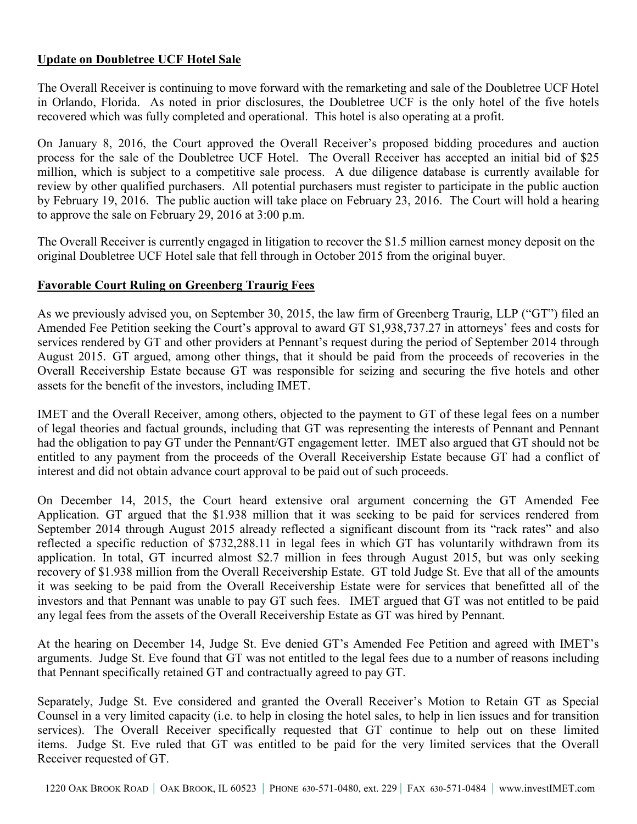## **Update on Doubletree UCF Hotel Sale**

The Overall Receiver is continuing to move forward with the remarketing and sale of the Doubletree UCF Hotel in Orlando, Florida. As noted in prior disclosures, the Doubletree UCF is the only hotel of the five hotels recovered which was fully completed and operational. This hotel is also operating at a profit.

On January 8, 2016, the Court approved the Overall Receiver's proposed bidding procedures and auction process for the sale of the Doubletree UCF Hotel. The Overall Receiver has accepted an initial bid of \$25 million, which is subject to a competitive sale process. A due diligence database is currently available for review by other qualified purchasers. All potential purchasers must register to participate in the public auction by February 19, 2016. The public auction will take place on February 23, 2016. The Court will hold a hearing to approve the sale on February 29, 2016 at 3:00 p.m.

The Overall Receiver is currently engaged in litigation to recover the \$1.5 million earnest money deposit on the original Doubletree UCF Hotel sale that fell through in October 2015 from the original buyer.

### **Favorable Court Ruling on Greenberg Traurig Fees**

As we previously advised you, on September 30, 2015, the law firm of Greenberg Traurig, LLP ("GT") filed an Amended Fee Petition seeking the Court's approval to award GT \$1,938,737.27 in attorneys' fees and costs for services rendered by GT and other providers at Pennant's request during the period of September 2014 through August 2015. GT argued, among other things, that it should be paid from the proceeds of recoveries in the Overall Receivership Estate because GT was responsible for seizing and securing the five hotels and other assets for the benefit of the investors, including IMET.

IMET and the Overall Receiver, among others, objected to the payment to GT of these legal fees on a number of legal theories and factual grounds, including that GT was representing the interests of Pennant and Pennant had the obligation to pay GT under the Pennant/GT engagement letter. IMET also argued that GT should not be entitled to any payment from the proceeds of the Overall Receivership Estate because GT had a conflict of interest and did not obtain advance court approval to be paid out of such proceeds.

On December 14, 2015, the Court heard extensive oral argument concerning the GT Amended Fee Application. GT argued that the \$1.938 million that it was seeking to be paid for services rendered from September 2014 through August 2015 already reflected a significant discount from its "rack rates" and also reflected a specific reduction of \$732,288.11 in legal fees in which GT has voluntarily withdrawn from its application. In total, GT incurred almost \$2.7 million in fees through August 2015, but was only seeking recovery of \$1.938 million from the Overall Receivership Estate. GT told Judge St. Eve that all of the amounts it was seeking to be paid from the Overall Receivership Estate were for services that benefitted all of the investors and that Pennant was unable to pay GT such fees. IMET argued that GT was not entitled to be paid any legal fees from the assets of the Overall Receivership Estate as GT was hired by Pennant.

At the hearing on December 14, Judge St. Eve denied GT's Amended Fee Petition and agreed with IMET's arguments. Judge St. Eve found that GT was not entitled to the legal fees due to a number of reasons including that Pennant specifically retained GT and contractually agreed to pay GT.

Separately, Judge St. Eve considered and granted the Overall Receiver's Motion to Retain GT as Special Counsel in a very limited capacity (i.e. to help in closing the hotel sales, to help in lien issues and for transition services). The Overall Receiver specifically requested that GT continue to help out on these limited items. Judge St. Eve ruled that GT was entitled to be paid for the very limited services that the Overall Receiver requested of GT.